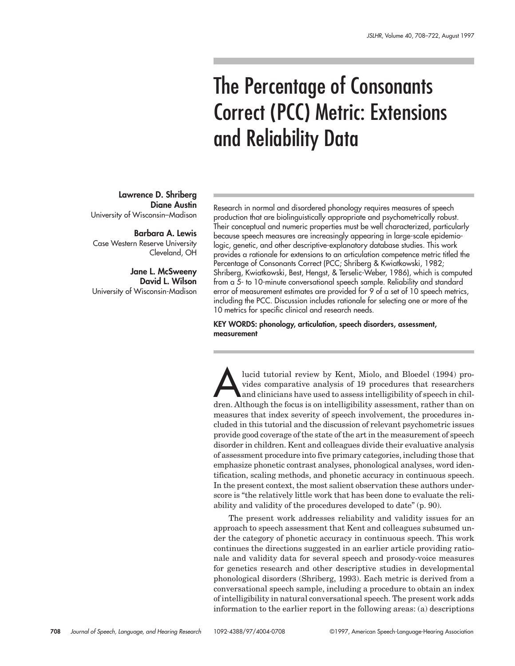# The Percentage of Consonants Correct (PCC) Metric: Extensions and Reliability Data

**Lawrence D. Shriberg Diane Austin** University of Wisconsin–Madison

**Barbara A. Lewis** Case Western Reserve University Cleveland, OH

**Jane L. McSweeny David L. Wilson** University of Wisconsin-Madison

Research in normal and disordered phonology requires measures of speech production that are biolinguistically appropriate and psychometrically robust. Their conceptual and numeric properties must be well characterized, particularly because speech measures are increasingly appearing in large-scale epidemiologic, genetic, and other descriptive-explanatory database studies. This work provides a rationale for extensions to an articulation competence metric titled the Percentage of Consonants Correct (PCC; Shriberg & Kwiatkowski, 1982; Shriberg, Kwiatkowski, Best, Hengst, & Terselic-Weber, 1986), which is computed from a 5- to 10-minute conversational speech sample. Reliability and standard error of measurement estimates are provided for 9 of a set of 10 speech metrics, including the PCC. Discussion includes rationale for selecting one or more of the 10 metrics for specific clinical and research needs.

**KEY WORDS: phonology, articulation, speech disorders, assessment, measurement**

lucid tutorial review by Kent, Miolo, and Bloedel (1994) provides comparative analysis of 19 procedures that researchers and clinicians have used to assess intelligibility of speech in children. Although the focus is on intelligibility assessment, rather than on measures that index severity of speech involvement, the procedures included in this tutorial and the discussion of relevant psychometric issues provide good coverage of the state of the art in the measurement of speech disorder in children. Kent and colleagues divide their evaluative analysis of assessment procedure into five primary categories, including those that emphasize phonetic contrast analyses, phonological analyses, word identification, scaling methods, and phonetic accuracy in continuous speech. In the present context, the most salient observation these authors underscore is "the relatively little work that has been done to evaluate the reliability and validity of the procedures developed to date" (p. 90).

The present work addresses reliability and validity issues for an approach to speech assessment that Kent and colleagues subsumed under the category of phonetic accuracy in continuous speech. This work continues the directions suggested in an earlier article providing rationale and validity data for several speech and prosody-voice measures for genetics research and other descriptive studies in developmental phonological disorders (Shriberg, 1993). Each metric is derived from a conversational speech sample, including a procedure to obtain an index of intelligibility in natural conversational speech. The present work adds information to the earlier report in the following areas: (a) descriptions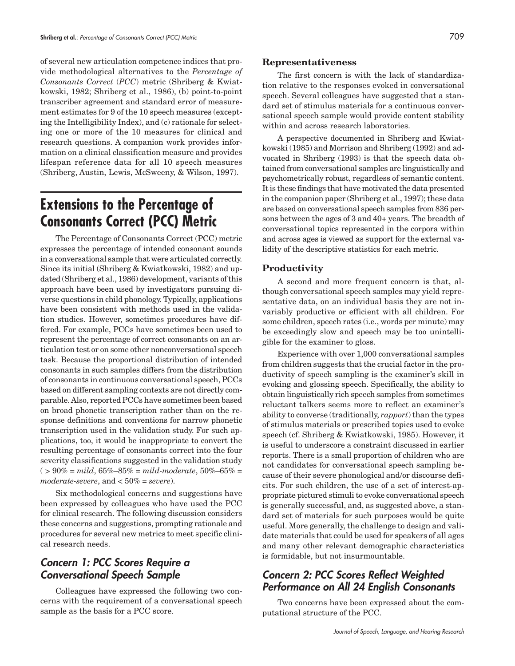of several new articulation competence indices that provide methodological alternatives to the *Percentage of Consonants Correct* (*PCC*) metric (Shriberg & Kwiatkowski, 1982; Shriberg et al., 1986), (b) point-to-point transcriber agreement and standard error of measurement estimates for 9 of the 10 speech measures (excepting the Intelligibility Index), and (c) rationale for selecting one or more of the 10 measures for clinical and research questions. A companion work provides information on a clinical classification measure and provides lifespan reference data for all 10 speech measures (Shriberg, Austin, Lewis, McSweeny, & Wilson, 1997).

# **Extensions to the Percentage of Consonants Correct (PCC) Metric**

The Percentage of Consonants Correct (PCC) metric expresses the percentage of intended consonant sounds in a conversational sample that were articulated correctly. Since its initial (Shriberg & Kwiatkowski, 1982) and updated (Shriberg et al., 1986) development, variants of this approach have been used by investigators pursuing diverse questions in child phonology. Typically, applications have been consistent with methods used in the validation studies. However, sometimes procedures have differed. For example, PCCs have sometimes been used to represent the percentage of correct consonants on an articulation test or on some other nonconversational speech task. Because the proportional distribution of intended consonants in such samples differs from the distribution of consonants in continuous conversational speech, PCCs based on different sampling contexts are not directly comparable. Also, reported PCCs have sometimes been based on broad phonetic transcription rather than on the response definitions and conventions for narrow phonetic transcription used in the validation study. For such applications, too, it would be inappropriate to convert the resulting percentage of consonants correct into the four severity classifications suggested in the validation study ( > 90% = *mild*, 65%–85% = *mild-moderate*, 50%–65% = *moderate-severe*, and < 50% = *severe*).

Six methodological concerns and suggestions have been expressed by colleagues who have used the PCC for clinical research. The following discussion considers these concerns and suggestions, prompting rationale and procedures for several new metrics to meet specific clinical research needs.

### **Concern 1: PCC Scores Require a Conversational Speech Sample**

Colleagues have expressed the following two concerns with the requirement of a conversational speech sample as the basis for a PCC score.

#### **Representativeness**

The first concern is with the lack of standardization relative to the responses evoked in conversational speech. Several colleagues have suggested that a standard set of stimulus materials for a continuous conversational speech sample would provide content stability within and across research laboratories.

A perspective documented in Shriberg and Kwiatkowski (1985) and Morrison and Shriberg (1992) and advocated in Shriberg (1993) is that the speech data obtained from conversational samples are linguistically and psychometrically robust, regardless of semantic content. It is these findings that have motivated the data presented in the companion paper (Shriberg et al., 1997); these data are based on conversational speech samples from 836 persons between the ages of 3 and 40+ years. The breadth of conversational topics represented in the corpora within and across ages is viewed as support for the external validity of the descriptive statistics for each metric.

#### **Productivity**

A second and more frequent concern is that, although conversational speech samples may yield representative data, on an individual basis they are not invariably productive or efficient with all children. For some children, speech rates (i.e., words per minute) may be exceedingly slow and speech may be too unintelligible for the examiner to gloss.

Experience with over 1,000 conversational samples from children suggests that the crucial factor in the productivity of speech sampling is the examiner's skill in evoking and glossing speech. Specifically, the ability to obtain linguistically rich speech samples from sometimes reluctant talkers seems more to reflect an examiner's ability to converse (traditionally, *rapport*) than the types of stimulus materials or prescribed topics used to evoke speech (cf. Shriberg & Kwiatkowski, 1985). However, it is useful to underscore a constraint discussed in earlier reports. There is a small proportion of children who are not candidates for conversational speech sampling because of their severe phonological and/or discourse deficits. For such children, the use of a set of interest-appropriate pictured stimuli to evoke conversational speech is generally successful, and, as suggested above, a standard set of materials for such purposes would be quite useful. More generally, the challenge to design and validate materials that could be used for speakers of all ages and many other relevant demographic characteristics is formidable, but not insurmountable.

# **Concern 2: PCC Scores Reflect Weighted Performance on All 24 English Consonants**

Two concerns have been expressed about the computational structure of the PCC.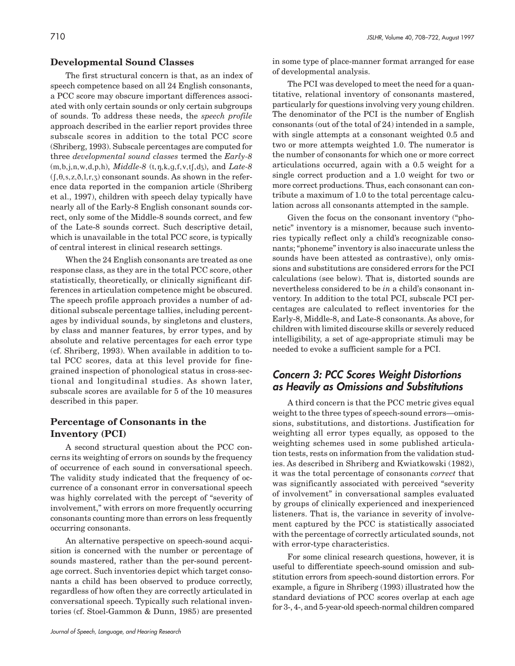#### 710 JSLHR, Volume 40, 708–722, August 1997

#### **Developmental Sound Classes**

The first structural concern is that, as an index of speech competence based on all 24 English consonants, a PCC score may obscure important differences associated with only certain sounds or only certain subgroups of sounds. To address these needs, the *speech profile* approach described in the earlier report provides three subscale scores in addition to the total PCC score (Shriberg, 1993). Subscale percentages are computed for three *developmental sound classes* termed the *Early-8*  $(m, b, j, n, w, d, p, h)$ , *Middle-8*  $(t, \eta, k, g, f, v, tf, dg)$ , and *Late-8*  $(\beta, \delta, z, \delta, l, r, \zeta)$  consonant sounds. As shown in the reference data reported in the companion article (Shriberg et al., 1997), children with speech delay typically have nearly all of the Early-8 English consonant sounds correct, only some of the Middle-8 sounds correct, and few of the Late-8 sounds correct. Such descriptive detail, which is unavailable in the total PCC score, is typically of central interest in clinical research settings.

When the 24 English consonants are treated as one response class, as they are in the total PCC score, other statistically, theoretically, or clinically significant differences in articulation competence might be obscured. The speech profile approach provides a number of additional subscale percentage tallies, including percentages by individual sounds, by singletons and clusters, by class and manner features, by error types, and by absolute and relative percentages for each error type (cf. Shriberg, 1993). When available in addition to total PCC scores, data at this level provide for finegrained inspection of phonological status in cross-sectional and longitudinal studies. As shown later, subscale scores are available for 5 of the 10 measures described in this paper.

#### **Percentage of Consonants in the Inventory (PCI)**

A second structural question about the PCC concerns its weighting of errors on sounds by the frequency of occurrence of each sound in conversational speech. The validity study indicated that the frequency of occurrence of a consonant error in conversational speech was highly correlated with the percept of "severity of involvement," with errors on more frequently occurring consonants counting more than errors on less frequently occurring consonants.

An alternative perspective on speech-sound acquisition is concerned with the number or percentage of sounds mastered, rather than the per-sound percentage correct. Such inventories depict which target consonants a child has been observed to produce correctly, regardless of how often they are correctly articulated in conversational speech. Typically such relational inventories (cf. Stoel-Gammon & Dunn, 1985) are presented

in some type of place-manner format arranged for ease of developmental analysis.

The PCI was developed to meet the need for a quantitative, relational inventory of consonants mastered, particularly for questions involving very young children. The denominator of the PCI is the number of English consonants (out of the total of 24) intended in a sample, with single attempts at a consonant weighted 0.5 and two or more attempts weighted 1.0. The numerator is the number of consonants for which one or more correct articulations occurred, again with a 0.5 weight for a single correct production and a 1.0 weight for two or more correct productions. Thus, each consonant can contribute a maximum of 1.0 to the total percentage calculation across all consonants attempted in the sample.

Given the focus on the consonant inventory ("phonetic" inventory is a misnomer, because such inventories typically reflect only a child's recognizable consonants; "phoneme" inventory is also inaccurate unless the sounds have been attested as contrastive), only omissions and substitutions are considered errors for the PCI calculations (see below). That is, distorted sounds are nevertheless considered to be *in* a child's consonant inventory. In addition to the total PCI, subscale PCI percentages are calculated to reflect inventories for the Early-8, Middle-8, and Late-8 consonants. As above, for children with limited discourse skills or severely reduced intelligibility, a set of age-appropriate stimuli may be needed to evoke a sufficient sample for a PCI.

### **Concern 3: PCC Scores Weight Distortions as Heavily as Omissions and Substitutions**

A third concern is that the PCC metric gives equal weight to the three types of speech-sound errors—omissions, substitutions, and distortions. Justification for weighting all error types equally, as opposed to the weighting schemes used in some published articulation tests, rests on information from the validation studies. As described in Shriberg and Kwiatkowski (1982), it was the total percentage of consonants *correct* that was significantly associated with perceived "severity of involvement" in conversational samples evaluated by groups of clinically experienced and inexperienced listeners. That is, the variance in severity of involvement captured by the PCC is statistically associated with the percentage of correctly articulated sounds, not with error-type characteristics.

For some clinical research questions, however, it is useful to differentiate speech-sound omission and substitution errors from speech-sound distortion errors. For example, a figure in Shriberg (1993) illustrated how the standard deviations of PCC scores overlap at each age for 3-, 4-, and 5-year-old speech-normal children compared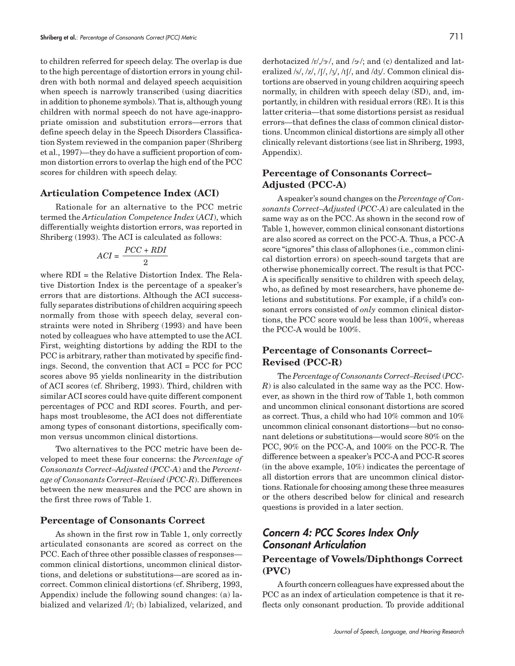to children referred for speech delay. The overlap is due to the high percentage of distortion errors in young children with both normal and delayed speech acquisition when speech is narrowly transcribed (using diacritics in addition to phoneme symbols). That is, although young children with normal speech do not have age-inappropriate omission and substitution errors—errors that define speech delay in the Speech Disorders Classification System reviewed in the companion paper (Shriberg et al., 1997)—they do have a sufficient proportion of common distortion errors to overlap the high end of the PCC scores for children with speech delay.

#### **Articulation Competence Index (ACI)**

Rationale for an alternative to the PCC metric termed the *Articulation Competence Index* (*ACI*), which differentially weights distortion errors, was reported in Shriberg (1993). The ACI is calculated as follows:

$$
ACI = \frac{PCC + RDI}{2}
$$

where RDI = the Relative Distortion Index. The Relative Distortion Index is the percentage of a speaker's errors that are distortions. Although the ACI successfully separates distributions of children acquiring speech normally from those with speech delay, several constraints were noted in Shriberg (1993) and have been noted by colleagues who have attempted to use the ACI. First, weighting distortions by adding the RDI to the PCC is arbitrary, rather than motivated by specific findings. Second, the convention that ACI = PCC for PCC scores above 95 yields nonlinearity in the distribution of ACI scores (cf. Shriberg, 1993). Third, children with similar ACI scores could have quite different component percentages of PCC and RDI scores. Fourth, and perhaps most troublesome, the ACI does not differentiate among types of consonant distortions, specifically common versus uncommon clinical distortions.

Two alternatives to the PCC metric have been developed to meet these four concerns: the *Percentage of Consonants Correct–Adjusted* (*PCC-A*) and the *Percentage of Consonants Correct–Revised* (*PCC-R*). Differences between the new measures and the PCC are shown in the first three rows of Table 1.

#### **Percentage of Consonants Correct**

As shown in the first row in Table 1, only correctly articulated consonants are scored as correct on the PCC. Each of three other possible classes of responses common clinical distortions, uncommon clinical distortions, and deletions or substitutions—are scored as incorrect. Common clinical distortions (cf. Shriberg, 1993, Appendix) include the following sound changes: (a) labialized and velarized  $\Lambda$ /; (b) labialized, velarized, and

derhotacized /r/,/ $\frac{3}{2}$ , and / $\frac{3}{2}$ ; and (c) dentalized and lateralized /s/, /z/, /ʃ/, /ʒ/, /tʃ/, and /dʒ/. Common clinical distortions are observed in young children acquiring speech normally, in children with speech delay (SD), and, importantly, in children with residual errors (RE). It is this latter criteria—that some distortions persist as residual errors—that defines the class of common clinical distortions. Uncommon clinical distortions are simply all other clinically relevant distortions (see list in Shriberg, 1993, Appendix).

#### **Percentage of Consonants Correct– Adjusted (PCC-A)**

A speaker's sound changes on the *Percentage of Consonants Correct–Adjusted* (*PCC-A*) are calculated in the same way as on the PCC. As shown in the second row of Table 1, however, common clinical consonant distortions are also scored as correct on the PCC-A. Thus, a PCC-A score "ignores" this class of allophones (i.e., common clinical distortion errors) on speech-sound targets that are otherwise phonemically correct. The result is that PCC-A is specifically sensitive to children with speech delay, who, as defined by most researchers, have phoneme deletions and substitutions. For example, if a child's consonant errors consisted of *only* common clinical distortions, the PCC score would be less than 100%, whereas the PCC-A would be 100%.

#### **Percentage of Consonants Correct– Revised (PCC-R)**

The *Percentage of Consonants Correct–Revised* (*PCC-R*) is also calculated in the same way as the PCC. However, as shown in the third row of Table 1, both common and uncommon clinical consonant distortions are scored as correct. Thus, a child who had 10% common and 10% uncommon clinical consonant distortions—but no consonant deletions or substitutions—would score 80% on the PCC, 90% on the PCC-A, and 100% on the PCC-R. The difference between a speaker's PCC-A and PCC-R scores (in the above example, 10%) indicates the percentage of all distortion errors that are uncommon clinical distortions. Rationale for choosing among these three measures or the others described below for clinical and research questions is provided in a later section.

### **Concern 4: PCC Scores Index Only Consonant Articulation**

#### **Percentage of Vowels/Diphthongs Correct (PVC)**

A fourth concern colleagues have expressed about the PCC as an index of articulation competence is that it reflects only consonant production. To provide additional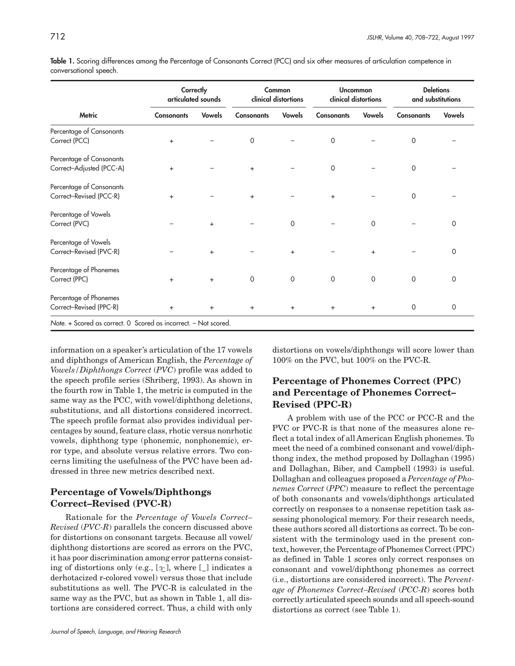|                   |               |                   | clinical distortions                                            | clinical distortions | <b>Uncommon</b> | <b>Deletions</b><br>and substitutions |               |  |
|-------------------|---------------|-------------------|-----------------------------------------------------------------|----------------------|-----------------|---------------------------------------|---------------|--|
| <b>Consonants</b> | <b>Vowels</b> | <b>Consonants</b> | <b>Vowels</b>                                                   | <b>Consonants</b>    | <b>Vowels</b>   | <b>Consonants</b>                     | <b>Vowels</b> |  |
| $\ddot{}$         |               | 0                 |                                                                 | $\mathbf 0$          |                 | 0                                     |               |  |
| $+$               |               | $\ddot{}$         |                                                                 | $\mathbf 0$          |                 | $\mathbf 0$                           |               |  |
| $\ddot{}$         |               | $\ddot{}$         |                                                                 | $\ddot{}$            |                 | $\Omega$                              |               |  |
|                   | $+$           |                   | 0                                                               |                      | $\Omega$        |                                       | 0             |  |
|                   | $+$           |                   | $\ddot{}$                                                       |                      | $\ddot{}$       |                                       | 0             |  |
| $+$               | $+$           | $\mathbf 0$       | $\mathbf 0$                                                     | $\mathbf 0$          | $\Omega$        | $\Omega$                              | $\Omega$      |  |
| $\ddot{}$         | $\ddot{}$     | $\ddot{}$         | $+$                                                             | $\ddot{}$            | $\ddot{}$       | 0                                     | 0             |  |
|                   |               |                   | Note. + Scored as correct. 0 Scored as incorrect. - Not scored. |                      |                 |                                       |               |  |

**Table 1.** Scoring differences among the Percentage of Consonants Correct (PCC) and six other measures of articulation competence in conversational speech.

information on a speaker's articulation of the 17 vowels and diphthongs of American English, the *Percentage of Vowels/Diphthongs Correct* (*PVC*) profile was added to the speech profile series (Shriberg, 1993). As shown in the fourth row in Table 1, the metric is computed in the same way as the PCC, with vowel/diphthong deletions, substitutions, and all distortions considered incorrect. The speech profile format also provides individual percentages by sound, feature class, rhotic versus nonrhotic vowels, diphthong type (phonemic, nonphonemic), error type, and absolute versus relative errors. Two concerns limiting the usefulness of the PVC have been addressed in three new metrics described next.

### **Percentage of Vowels/Diphthongs Correct–Revised (PVC-R)**

Rationale for the *Percentage of Vowels Correct– Revised* (*PVC-R*) parallels the concern discussed above for distortions on consonant targets. Because all vowel/ diphthong distortions are scored as errors on the PVC, it has poor discrimination among error patterns consisting of distortions only (e.g.,  $[3, \cdot]$ , where [ $\Box$ ] indicates a derhotacized r-colored vowel) versus those that include substitutions as well. The PVC-R is calculated in the same way as the PVC, but as shown in Table 1, all distortions are considered correct. Thus, a child with only

distortions on vowels/diphthongs will score lower than 100% on the PVC, but 100% on the PVC-R.

#### **Percentage of Phonemes Correct (PPC) and Percentage of Phonemes Correct– Revised (PPC-R)**

A problem with use of the PCC or PCC-R and the PVC or PVC-R is that none of the measures alone reflect a total index of all American English phonemes. To meet the need of a combined consonant and vowel/diphthong index, the method proposed by Dollaghan (1995) and Dollaghan, Biber, and Campbell (1993) is useful. Dollaghan and colleagues proposed a *Percentage of Phonemes Correct* (*PPC*) measure to reflect the percentage of both consonants and vowels/diphthongs articulated correctly on responses to a nonsense repetition task assessing phonological memory. For their research needs, these authors scored all distortions as correct. To be consistent with the terminology used in the present context, however, the Percentage of Phonemes Correct (PPC) as defined in Table 1 scores only correct responses on consonant and vowel/diphthong phonemes as correct (i.e., distortions are considered incorrect). The *Percentage of Phonemes Correct–Revised* (*PCC-R*) scores both correctly articulated speech sounds and all speech-sound distortions as correct (see Table 1).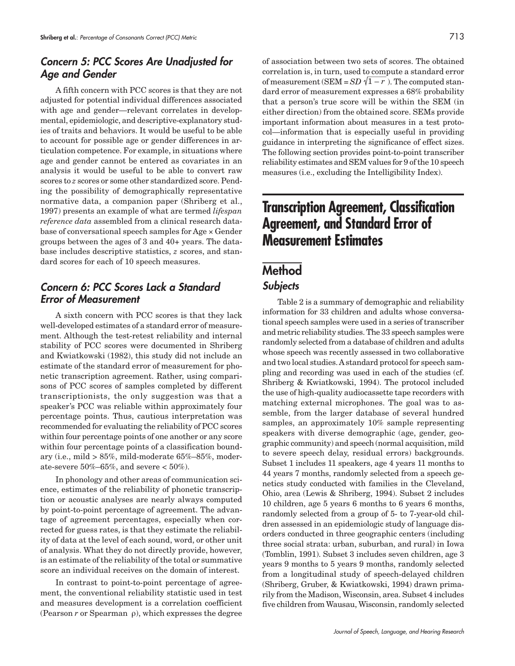# **Concern 5: PCC Scores Are Unadjusted for Age and Gender**

A fifth concern with PCC scores is that they are not adjusted for potential individual differences associated with age and gender—relevant correlates in developmental, epidemiologic, and descriptive-explanatory studies of traits and behaviors. It would be useful to be able to account for possible age or gender differences in articulation competence. For example, in situations where age and gender cannot be entered as covariates in an analysis it would be useful to be able to convert raw scores to *z* scores or some other standardized score. Pending the possibility of demographically representative normative data, a companion paper (Shriberg et al., 1997) presents an example of what are termed *lifespan reference data* assembled from a clinical research database of conversational speech samples for Age × Gender groups between the ages of 3 and 40+ years. The database includes descriptive statistics, *z* scores, and standard scores for each of 10 speech measures.

# **Concern 6: PCC Scores Lack a Standard Error of Measurement**

A sixth concern with PCC scores is that they lack well-developed estimates of a standard error of measurement. Although the test-retest reliability and internal stability of PCC scores were documented in Shriberg and Kwiatkowski (1982), this study did not include an estimate of the standard error of measurement for phonetic transcription agreement. Rather, using comparisons of PCC scores of samples completed by different transcriptionists, the only suggestion was that a speaker's PCC was reliable within approximately four percentage points. Thus, cautious interpretation was recommended for evaluating the reliability of PCC scores within four percentage points of one another or any score within four percentage points of a classification boundary (i.e., mild > 85%, mild-moderate 65%–85%, moderate-severe  $50\%$ – $65\%$ , and severe <  $50\%$ ).

In phonology and other areas of communication science, estimates of the reliability of phonetic transcription or acoustic analyses are nearly always computed by point-to-point percentage of agreement. The advantage of agreement percentages, especially when corrected for guess rates, is that they estimate the reliability of data at the level of each sound, word, or other unit of analysis. What they do not directly provide, however, is an estimate of the reliability of the total or summative score an individual receives on the domain of interest.

In contrast to point-to-point percentage of agreement, the conventional reliability statistic used in test and measures development is a correlation coefficient (Pearson *r* or Spearman ρ), which expresses the degree

of association between two sets of scores. The obtained correlation is, in turn, used to compute a standard error of measurement (SEM =  $SD \sqrt{1-r}$ ). The computed standard error of measurement expresses a 68% probability that a person's true score will be within the SEM (in either direction) from the obtained score. SEMs provide important information about measures in a test protocol—information that is especially useful in providing guidance in interpreting the significance of effect sizes. The following section provides point-to-point transcriber reliability estimates and SEM values for 9 of the 10 speech measures (i.e., excluding the Intelligibility Index).

# **Transcription Agreement, Classification Agreement, and Standard Error of Measurement Estimates**

# **Method Subjects**

Table 2 is a summary of demographic and reliability information for 33 children and adults whose conversational speech samples were used in a series of transcriber and metric reliability studies. The 33 speech samples were randomly selected from a database of children and adults whose speech was recently assessed in two collaborative and two local studies. A standard protocol for speech sampling and recording was used in each of the studies (cf. Shriberg & Kwiatkowski, 1994). The protocol included the use of high-quality audiocassette tape recorders with matching external microphones. The goal was to assemble, from the larger database of several hundred samples, an approximately 10% sample representing speakers with diverse demographic (age, gender, geographic community) and speech (normal acquisition, mild to severe speech delay, residual errors) backgrounds. Subset 1 includes 11 speakers, age 4 years 11 months to 44 years 7 months, randomly selected from a speech genetics study conducted with families in the Cleveland, Ohio, area (Lewis & Shriberg, 1994). Subset 2 includes 10 children, age 5 years 6 months to 6 years 6 months, randomly selected from a group of 5- to 7-year-old children assessed in an epidemiologic study of language disorders conducted in three geographic centers (including three social strata: urban, suburban, and rural) in Iowa (Tomblin, 1991). Subset 3 includes seven children, age 3 years 9 months to 5 years 9 months, randomly selected from a longitudinal study of speech-delayed children (Shriberg, Gruber, & Kwiatkowski, 1994) drawn primarily from the Madison, Wisconsin, area. Subset 4 includes five children from Wausau, Wisconsin, randomly selected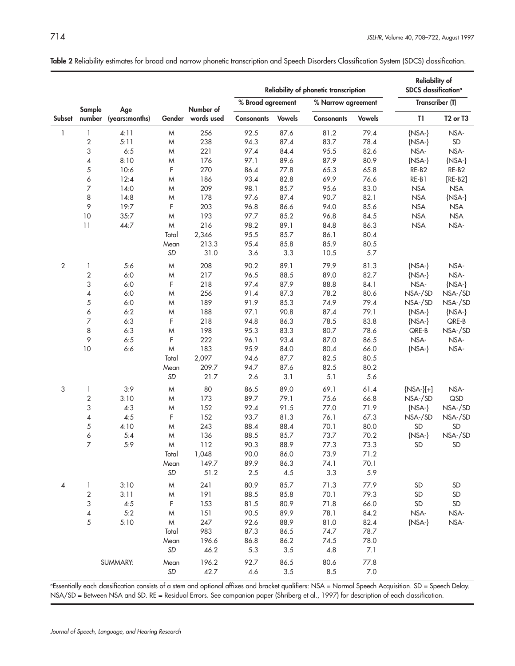|        |                          |                       |               |            |                   |               | Reliability of phonetic transcription |               | <b>Reliability of</b><br>SDCS classification <sup>a</sup> |                                  |
|--------|--------------------------|-----------------------|---------------|------------|-------------------|---------------|---------------------------------------|---------------|-----------------------------------------------------------|----------------------------------|
|        | Sample                   | Age                   |               | Number of  | % Broad agreement |               | % Narrow agreement                    |               | Transcriber (T)                                           |                                  |
| Subset |                          | number (years:months) | Gender        | words used | <b>Consonants</b> | <b>Vowels</b> | <b>Consonants</b>                     | <b>Vowels</b> | T1                                                        | T <sub>2</sub> or T <sub>3</sub> |
| 1      | 1                        | 4:11                  | M             | 256        | 92.5              | 87.6          | 81.2                                  | 79.4          | $\{NSA-\}$                                                | NSA-                             |
|        | $\overline{c}$           | 5:11                  | M             | 238        | 94.3              | 87.4          | 83.7                                  | 78.4          | $\{NSA-\}$                                                | SD                               |
|        | 3                        | 6:5                   | M             | 221        | 97.4              | 84.4          | 95.5                                  | 82.6          | NSA-                                                      | NSA-                             |
|        | 4                        | 8:10                  | M             | 176        | 97.1              | 89.6          | 87.9                                  | 80.9          | $\{NSA-\}$                                                | ${NSA-}$                         |
|        | 5                        | 10:6                  | F             | 270        | 86.4              | 77.8          | 65.3                                  | 65.8          | RE-B2                                                     | RE-B2                            |
|        | 6                        | 12:4                  | M             | 186        | 93.4              | 82.8          | 69.9                                  | 76.6          | RE-B1                                                     | $[RE-B2]$                        |
|        | 7                        | 14:0                  | M             | 209        | 98.1              | 85.7          | 95.6                                  | 83.0          | <b>NSA</b>                                                | <b>NSA</b>                       |
|        | 8                        | 14:8                  | M             | 178        | 97.6              | 87.4          | 90.7                                  | 82.1          | <b>NSA</b>                                                | ${NSA-}$                         |
|        | 9                        | 19:7                  | F             | 203        | 96.8              | 86.6          | 94.0                                  | 85.6          | <b>NSA</b>                                                | <b>NSA</b>                       |
|        | 10                       | 35:7                  | M             | 193        | 97.7              | 85.2          | 96.8                                  | 84.5          | <b>NSA</b>                                                | <b>NSA</b>                       |
|        | 11                       | 44:7                  | M             | 216        | 98.2              | 89.1          | 84.8                                  | 86.3          | <b>NSA</b>                                                | NSA-                             |
|        |                          |                       | Total         | 2,346      | 95.5              | 85.7          | 86.1                                  | 80.4          |                                                           |                                  |
|        |                          |                       | Mean          | 213.3      | 95.4              | 85.8          | 85.9                                  | 80.5          |                                                           |                                  |
|        |                          |                       | SD            | 31.0       | 3.6               | 3.3           | 10.5                                  | 5.7           |                                                           |                                  |
| 2      | 1                        | 5:6                   | M             | 208        | 90.2              | 89.1          | 79.9                                  | 81.3          | ${NSA-}$                                                  | NSA-                             |
|        | $\sqrt{2}$               | 6:0                   | M             | 217        | 96.5              | 88.5          | 89.0                                  | 82.7          | $\{NSA-\}$                                                | NSA-                             |
|        | 3                        | 6:0                   | F             | 218        | 97.4              | 87.9          | 88.8                                  | 84.1          | NSA-                                                      | $\{NSA-\}$                       |
|        | $\overline{\mathcal{A}}$ | 6:0                   | M             | 256        | 91.4              | 87.3          | 78.2                                  | 80.6          | NSA-/SD                                                   | NSA-/SD                          |
|        | 5                        | 6:0                   | M             | 189        | 91.9              | 85.3          | 74.9                                  | 79.4          | NSA-/SD                                                   | NSA-/SD                          |
|        | 6                        | 6:2                   | M             | 188        | 97.1              | 90.8          | 87.4                                  | 79.1          | $\{NSA-\}$                                                | $\{NSA-\}$                       |
|        | 7                        | 6:3                   | F             | 218        | 94.8              | 86.3          | 78.5                                  | 83.8          | ${NSA-}$                                                  | $QRE-B$                          |
|        | 8                        | 6:3                   | M             | 198        | 95.3              | 83.3          | 80.7                                  | 78.6          | QRE-B                                                     | NSA-/SD                          |
|        | 9                        | 6:5                   | F             | 222        | 96.1              | 93.4          | 87.0                                  | 86.5          | NSA-                                                      | NSA-                             |
|        | 10                       | 6:6                   | M             | 183        | 95.9              | 84.0          | 80.4                                  | 66.0          | $\{NSA-\}$                                                | NSA-                             |
|        |                          |                       | Total         | 2,097      | 94.6              | 87.7          | 82.5                                  | 80.5          |                                                           |                                  |
|        |                          |                       | Mean          | 209.7      | 94.7              | 87.6          | 82.5                                  | 80.2          |                                                           |                                  |
|        |                          |                       | SD            | 21.7       | 2.6               | 3.1           | 5.1                                   | 5.6           |                                                           |                                  |
| 3      | 1                        | 3:9                   | M             | 80         | 86.5              | 89.0          | 69.1                                  | 61.4          | $[NSA-][+]$                                               | NSA-                             |
|        | $\sqrt{2}$               | 3:10                  | M             | 173        | 89.7              | 79.1          | 75.6                                  | 66.8          | NSA-/SD                                                   | QSD                              |
|        | 3                        | 4:3                   | M             | 152        | 92.4              | 91.5          | 77.0                                  | 71.9          | ${NSA-}$                                                  | NSA-/SD                          |
|        | 4                        | 4:5                   | F             | 152        | 93.7              | 81.3          | 76.1                                  | 67.3          | NSA-/SD                                                   | NSA-/SD                          |
|        | 5                        | 4:10                  | M             | 243        | 88.4              | 88.4          | 70.1                                  | 80.0          | <b>SD</b>                                                 | SD                               |
|        | 6                        | 5:4                   | M             | 136        | 88.5              | 85.7          | 73.7                                  | 70.2          | $\{NSA-\}$                                                | NSA-/SD                          |
|        | 7                        | 5:9                   | M             | 112        | 90.3              | 88.9          | 77.3                                  | 73.3          | SD                                                        | SD                               |
|        |                          |                       | Total         | 1,048      | 90.0              | 86.0          | 73.9                                  | 71.2          |                                                           |                                  |
|        |                          |                       | Mean          | 149.7      | 89.9              | 86.3          | 74.1                                  | 70.1          |                                                           |                                  |
|        |                          |                       | $\mathit{SD}$ | 51.2       | 2.5               | 4.5           | 3.3                                   | 5.9           |                                                           |                                  |
| 4      | $\mathbf{1}$             | 3:10                  | M             | 241        | 80.9              | 85.7          | 71.3                                  | 77.9          | SD                                                        | SD                               |
|        | $\sqrt{2}$               | 3:11                  | M             | 191        | 88.5              | 85.8          | 70.1                                  | 79.3          | SD                                                        | SD                               |
|        | 3                        | 4:5                   | F             | 153        | 81.5              | 80.9          | 71.8                                  | 66.0          | $\mathsf{SD}$                                             | SD                               |
|        | 4                        | 5:2                   | M             | 151        | 90.5              | 89.9          | 78.1                                  | 84.2          | NSA-                                                      | NSA-                             |
|        | 5                        | 5:10                  | M             | 247        | 92.6              | 88.9          | 81.0                                  | 82.4          | ${NSA-}$                                                  | NSA-                             |
|        |                          |                       | Total         | 983        | 87.3              | 86.5          | 74.7                                  | 78.7          |                                                           |                                  |
|        |                          |                       | Mean          | 196.6      | 86.8              | 86.2          | 74.5                                  | 78.0          |                                                           |                                  |
|        |                          |                       | SD            | 46.2       | 5.3               | 3.5           | 4.8                                   | 7.1           |                                                           |                                  |
|        |                          | SUMMARY:              | Mean          | 196.2      | 92.7              | 86.5          | 80.6                                  | 77.8          |                                                           |                                  |
|        |                          |                       | $\mathit{SD}$ | 42.7       | 4.6               | 3.5           | 8.5                                   | 7.0           |                                                           |                                  |

|  |  |  |  |  |  |  | Table 2 Reliability estimates for broad and narrow phonetic transcription and Speech Disorders Classification System (SDCS) classification. |
|--|--|--|--|--|--|--|---------------------------------------------------------------------------------------------------------------------------------------------|
|  |  |  |  |  |  |  |                                                                                                                                             |

a Essentially each classification consists of a stem and optional affixes and bracket qualifiers: NSA = Normal Speech Acquisition. SD = Speech Delay. NSA/SD = Between NSA and SD. RE = Residual Errors. See companion paper (Shriberg et al., 1997) for description of each classification.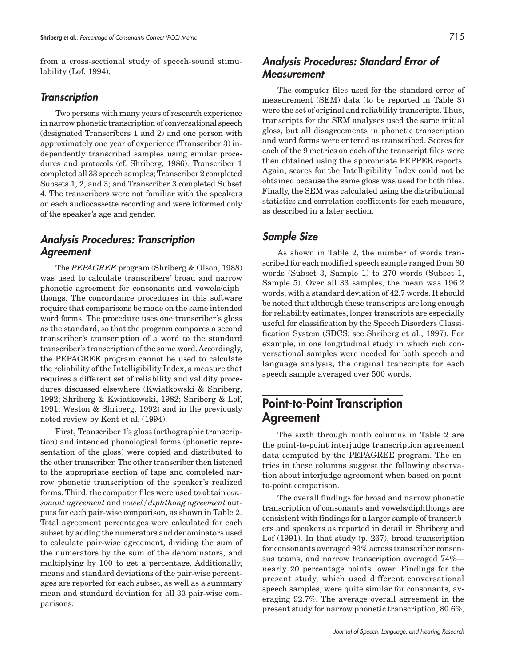from a cross-sectional study of speech-sound stimulability (Lof, 1994).

#### **Transcription**

Two persons with many years of research experience in narrow phonetic transcription of conversational speech (designated Transcribers 1 and 2) and one person with approximately one year of experience (Transcriber 3) independently transcribed samples using similar procedures and protocols (cf. Shriberg, 1986). Transcriber 1 completed all 33 speech samples; Transcriber 2 completed Subsets 1, 2, and 3; and Transcriber 3 completed Subset 4. The transcribers were not familiar with the speakers on each audiocassette recording and were informed only of the speaker's age and gender.

### **Analysis Procedures: Transcription Agreement**

The *PEPAGREE* program (Shriberg & Olson, 1988) was used to calculate transcribers' broad and narrow phonetic agreement for consonants and vowels/diphthongs. The concordance procedures in this software require that comparisons be made on the same intended word forms. The procedure uses one transcriber's gloss as the standard, so that the program compares a second transcriber's transcription of a word to the standard transcriber's transcription of the same word. Accordingly, the PEPAGREE program cannot be used to calculate the reliability of the Intelligibility Index, a measure that requires a different set of reliability and validity procedures discussed elsewhere (Kwiatkowski & Shriberg, 1992; Shriberg & Kwiatkowski, 1982; Shriberg & Lof, 1991; Weston & Shriberg, 1992) and in the previously noted review by Kent et al. (1994).

First, Transcriber 1's gloss (orthographic transcription) and intended phonological forms (phonetic representation of the gloss) were copied and distributed to the other transcriber. The other transcriber then listened to the appropriate section of tape and completed narrow phonetic transcription of the speaker's realized forms. Third, the computer files were used to obtain *consonant agreement* and *vowel/diphthong agreement* outputs for each pair-wise comparison, as shown in Table 2. Total agreement percentages were calculated for each subset by adding the numerators and denominators used to calculate pair-wise agreement, dividing the sum of the numerators by the sum of the denominators, and multiplying by 100 to get a percentage. Additionally, means and standard deviations of the pair-wise percentages are reported for each subset, as well as a summary mean and standard deviation for all 33 pair-wise comparisons.

### **Analysis Procedures: Standard Error of Measurement**

The computer files used for the standard error of measurement (SEM) data (to be reported in Table 3) were the set of original and reliability transcripts. Thus, transcripts for the SEM analyses used the same initial gloss, but all disagreements in phonetic transcription and word forms were entered as transcribed. Scores for each of the 9 metrics on each of the transcript files were then obtained using the appropriate PEPPER reports. Again, scores for the Intelligibility Index could not be obtained because the same gloss was used for both files. Finally, the SEM was calculated using the distributional statistics and correlation coefficients for each measure, as described in a later section.

### **Sample Size**

As shown in Table 2, the number of words transcribed for each modified speech sample ranged from 80 words (Subset 3, Sample 1) to 270 words (Subset 1, Sample 5). Over all 33 samples, the mean was 196.2 words, with a standard deviation of 42.7 words. It should be noted that although these transcripts are long enough for reliability estimates, longer transcripts are especially useful for classification by the Speech Disorders Classification System (SDCS; see Shriberg et al., 1997). For example, in one longitudinal study in which rich conversational samples were needed for both speech and language analysis, the original transcripts for each speech sample averaged over 500 words.

# **Point-to-Point Transcription Agreement**

The sixth through ninth columns in Table 2 are the point-to-point interjudge transcription agreement data computed by the PEPAGREE program. The entries in these columns suggest the following observation about interjudge agreement when based on pointto-point comparison.

The overall findings for broad and narrow phonetic transcription of consonants and vowels/diphthongs are consistent with findings for a larger sample of transcribers and speakers as reported in detail in Shriberg and Lof (1991). In that study (p. 267), broad transcription for consonants averaged 93% across transcriber consensus teams, and narrow transcription averaged 74% nearly 20 percentage points lower. Findings for the present study, which used different conversational speech samples, were quite similar for consonants, averaging 92.7%. The average overall agreement in the present study for narrow phonetic transcription, 80.6%,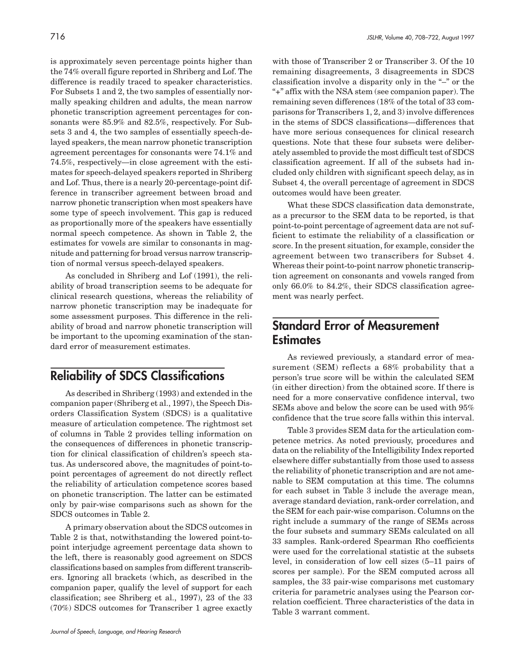is approximately seven percentage points higher than the 74% overall figure reported in Shriberg and Lof. The difference is readily traced to speaker characteristics. For Subsets 1 and 2, the two samples of essentially normally speaking children and adults, the mean narrow phonetic transcription agreement percentages for consonants were 85.9% and 82.5%, respectively. For Subsets 3 and 4, the two samples of essentially speech-delayed speakers, the mean narrow phonetic transcription agreement percentages for consonants were 74.1% and 74.5%, respectively—in close agreement with the estimates for speech-delayed speakers reported in Shriberg and Lof. Thus, there is a nearly 20-percentage-point difference in transcriber agreement between broad and narrow phonetic transcription when most speakers have some type of speech involvement. This gap is reduced as proportionally more of the speakers have essentially normal speech competence. As shown in Table 2, the estimates for vowels are similar to consonants in magnitude and patterning for broad versus narrow transcription of normal versus speech-delayed speakers.

As concluded in Shriberg and Lof (1991), the reliability of broad transcription seems to be adequate for clinical research questions, whereas the reliability of narrow phonetic transcription may be inadequate for some assessment purposes. This difference in the reliability of broad and narrow phonetic transcription will be important to the upcoming examination of the standard error of measurement estimates.

# **Reliability of SDCS Classifications**

As described in Shriberg (1993) and extended in the companion paper (Shriberg et al., 1997), the Speech Disorders Classification System (SDCS) is a qualitative measure of articulation competence. The rightmost set of columns in Table 2 provides telling information on the consequences of differences in phonetic transcription for clinical classification of children's speech status. As underscored above, the magnitudes of point-topoint percentages of agreement do not directly reflect the reliability of articulation competence scores based on phonetic transcription. The latter can be estimated only by pair-wise comparisons such as shown for the SDCS outcomes in Table 2.

A primary observation about the SDCS outcomes in Table 2 is that, notwithstanding the lowered point-topoint interjudge agreement percentage data shown to the left, there is reasonably good agreement on SDCS classifications based on samples from different transcribers. Ignoring all brackets (which, as described in the companion paper, qualify the level of support for each classification; see Shriberg et al., 1997), 23 of the 33 (70%) SDCS outcomes for Transcriber 1 agree exactly with those of Transcriber 2 or Transcriber 3. Of the 10 remaining disagreements, 3 disagreements in SDCS classification involve a disparity only in the "–" or the "+" affix with the NSA stem (see companion paper). The remaining seven differences (18% of the total of 33 comparisons for Transcribers 1, 2, and 3) involve differences in the stems of SDCS classifications—differences that have more serious consequences for clinical research questions. Note that these four subsets were deliberately assembled to provide the most difficult test of SDCS classification agreement. If all of the subsets had included only children with significant speech delay, as in Subset 4, the overall percentage of agreement in SDCS outcomes would have been greater.

What these SDCS classification data demonstrate, as a precursor to the SEM data to be reported, is that point-to-point percentage of agreement data are not sufficient to estimate the reliability of a classification or score. In the present situation, for example, consider the agreement between two transcribers for Subset 4. Whereas their point-to-point narrow phonetic transcription agreement on consonants and vowels ranged from only 66.0% to 84.2%, their SDCS classification agreement was nearly perfect.

# **Standard Error of Measurement Estimates**

As reviewed previously, a standard error of measurement (SEM) reflects a 68% probability that a person's true score will be within the calculated SEM (in either direction) from the obtained score. If there is need for a more conservative confidence interval, two SEMs above and below the score can be used with 95% confidence that the true score falls within this interval.

Table 3 provides SEM data for the articulation competence metrics. As noted previously, procedures and data on the reliability of the Intelligibility Index reported elsewhere differ substantially from those used to assess the reliability of phonetic transcription and are not amenable to SEM computation at this time. The columns for each subset in Table 3 include the average mean, average standard deviation, rank-order correlation, and the SEM for each pair-wise comparison. Columns on the right include a summary of the range of SEMs across the four subsets and summary SEMs calculated on all 33 samples. Rank-ordered Spearman Rho coefficients were used for the correlational statistic at the subsets level, in consideration of low cell sizes (5–11 pairs of scores per sample). For the SEM computed across all samples, the 33 pair-wise comparisons met customary criteria for parametric analyses using the Pearson correlation coefficient. Three characteristics of the data in Table 3 warrant comment.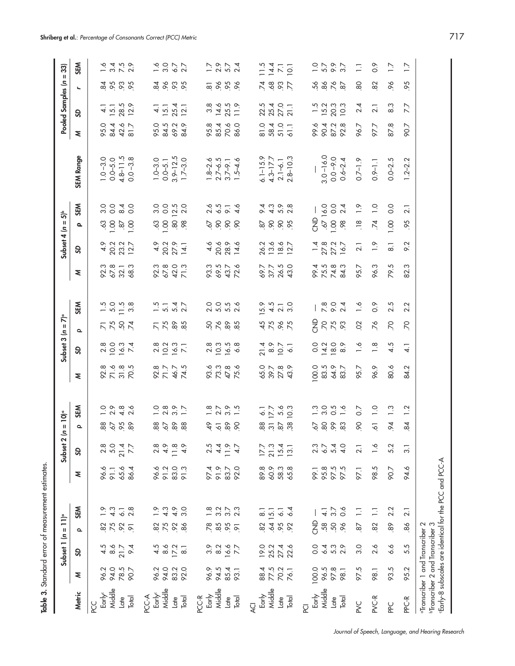|                                                                                   |                               | Subset $1 (n = 11)^{\circ}$                                    |                                                         |                                                       |                              | Subset 2                                           | $(n = 10)^{6}$                                                                           |                                             |                               | Subset $3 (n = 7)$ <sup>o</sup>                                                            |                               |                                     |                                      |                                   | Subset $4(n = 5)^b$                                                          |                                  |                                                           |                                                | Pooled Samples (n = 33)               |                                           |                                                                      |
|-----------------------------------------------------------------------------------|-------------------------------|----------------------------------------------------------------|---------------------------------------------------------|-------------------------------------------------------|------------------------------|----------------------------------------------------|------------------------------------------------------------------------------------------|---------------------------------------------|-------------------------------|--------------------------------------------------------------------------------------------|-------------------------------|-------------------------------------|--------------------------------------|-----------------------------------|------------------------------------------------------------------------------|----------------------------------|-----------------------------------------------------------|------------------------------------------------|---------------------------------------|-------------------------------------------|----------------------------------------------------------------------|
| Metric                                                                            | Σ                             | œ                                                              | ٩                                                       | <b>SEM</b>                                            | Σ                            | 9S                                                 | ٩                                                                                        | <b>SEM</b>                                  | z                             | œ                                                                                          | ٩                             | <b>SEM</b>                          | z                                    | œ                                 | <b>SEM</b><br>٩                                                              |                                  | <b>SEM Range</b>                                          | ξ                                              | œ                                     | Ч                                         | SEM                                                                  |
| Early <sup>c</sup><br>Middle<br>Total<br>$L$ ate<br><b>DO</b>                     | 86.3<br>84.9<br>86.7          | $48074$<br>$7874$                                              | $\frac{25}{25}$ $\frac{25}{25}$                         | $-4.628$<br>$-4.628$                                  | 96.6<br>91.1<br>96.4         | $2.8$<br>$3.5$<br>$7.7$<br>$7.7$                   | 89.98.99                                                                                 | $-2980$<br>$-242$                           | 82.8<br>87.85<br>87.92        | $280074$<br>$2914$                                                                         | <u>r k g z</u>                | $1.5$<br>$-5.0$<br>$-5.8$<br>$-3.8$ | 23<br>2313<br>233                    | $49.2$<br>$20.2$<br>$12.7$        | $3828$<br>$-282$                                                             | 0040<br>0040                     | $4.8 - 11.5$<br>0.0 - 3.8<br>$1.0 - 3.0$<br>$0.0 - 5.0$   | 85.4<br>842.5<br>81.7                          | $4.1$<br>$15.1$<br>$28.5$<br>$12.9$   | <u>g</u> g g g g                          | $-3150$<br>$-3150$                                                   |
| Middle<br>$E$ ar $\gamma$ <sup>c</sup><br>PCC-A<br>Total<br>$L$ ate               | 96.2<br>0<br>83.2<br>92.0     | $\frac{6}{1}$ $\frac{6}{1}$ $\frac{7}{1}$ $\frac{8}{1}$<br>4.5 | $\frac{3}{2}$ $\frac{1}{2}$ $\frac{3}{2}$ $\frac{3}{2}$ | $-440$<br>$-440$                                      | 96.6<br>91.3<br>83.0<br>91.3 | $289$<br>$299$<br>$299$<br>$299$<br>$299$<br>$299$ | <b>89 % 89 89</b>                                                                        | $ \frac{8}{3}$ $\frac{8}{3}$ $\frac{6}{1}$  | 92.8<br>71.7<br>44.5<br>74.5  | $28$<br>$29$<br>$29$<br>$7$<br>$7$<br><br><br><br><br><br><br><br><br><br><br><br><br><br> | 77888                         | $1.5$<br>$- 5.4$<br>$- 2.7$         | 92.3<br>67.8<br>9 4 7.3              | $4829$<br>$759$<br>$14$           | 30050<br>30050<br>39.88                                                      |                                  | $3.9 - 12.5$<br>$1.7 - 3.0$<br>$1.0 - 3.0$<br>$0.0 - 5.1$ | 85.98.98<br>85.98.98                           | $4.1$<br>$15.1$<br>$25.1$<br>$12.1$   | <u>z</u> s s s s                          | 1<br>0<br>0<br>0<br>0<br>0<br>2<br>0<br>2<br>0                       |
| Middle<br>Early<br>Total<br>PCC-R<br>$L$ ate                                      | 86.5<br>84.5<br>85.1          | $8.2$<br>$9.6$<br>$7.7$<br>3.9                                 | 8.85<br>78                                              | 82773<br>1332                                         | 97.98<br>97.98<br>97.98      | $407$<br>$407$<br>$407$<br>2.5                     | $\frac{1}{2}$ $\frac{1}{2}$ $\frac{1}{2}$ $\frac{1}{2}$ $\frac{1}{2}$<br>$\ddot{\sigma}$ | $-2.5$<br>$-2.5$<br>$-1.5$                  | 82.3<br>82.3<br>82.4 PS       | 2800000000000                                                                              | 8888                          | 0 0 5 4<br>0 5 5 6<br>0 5 6         | 93.3<br>69.5<br>72.6                 | 4.6<br>20.6<br>28.9<br>14.6       | 2888                                                                         | $25 - 6$<br>$25 - 6$<br>$25 - 6$ | $1.8-2.6$<br>$2.7-6.5$<br>$3.7-9.1$<br>$1.5-4.6$          | 85<br>85<br>86<br>86<br>86<br>8                | $3.8$<br>$14.6$<br>$25.5$<br>$11.9$   | $\frac{5}{8}$ $\frac{8}{8}$ $\frac{8}{8}$ | $7974$<br>$-2574$                                                    |
| Middle<br>Early<br>Total<br>$L$ ate<br>Q<br>ACI                                   | 88.4<br>77.5<br>76.1          | 0.0<br>2524<br>2528                                            | <b>89288</b>                                            | 6.1<br>$\overline{\circ}$<br>15.1                     | 89.8<br>00.3<br>58.3<br>65.8 | $\frac{17.7}{21.3}$<br>$\frac{3}{13.1}$            | $80 - 90 - 80$                                                                           | $17.7$<br>5.6<br>10.3<br>$\overline{\circ}$ | <b>95789</b><br>98789         | $\frac{21.4}{8.0}$<br>10.7<br>6.1                                                          | 4787                          |                                     | 59.7<br>57.5<br>58.43                | $26.2$<br>$13.6$<br>$6$<br>$12.7$ | 8888                                                                         | 2 3 4 5 6<br>2 4 5 6 7           | $6.1 - 15.9$<br>$4.3 - 17.7$<br>2.1-6.1<br>$2.8 - 10.3$   |                                                | 23.40<br>25.40<br>25.71               | 4885                                      | $\frac{1}{1} \times \frac{1}{2}$<br>$\frac{1}{2} \times \frac{1}{2}$ |
| Middle<br>Early<br>Total<br>$L$ ate<br><b>ZQ</b>                                  | 100.0<br>96.5<br>97.8<br>98.1 | $\rm ^{\circ}$<br>$6.4$<br>$6.3$<br>$2.9$                      | $\frac{1}{2}$<br>38.58                                  | $\frac{7}{0.6}$<br>$\overline{4}$                     | 95.5<br>97.5<br>97.5<br>99.1 | 5.4<br>4.0<br>2.3<br>6.7                           | $\cancel{2}$ $\cancel{2}$ $\cancel{2}$ $\cancel{2}$ $\cancel{2}$ $\cancel{2}$            | $\tilde{c}$ .<br>$30.5$<br>$-1.6$           | 100.0<br>83.5<br>83.7<br>83.7 | $\overline{O}$ .<br>$1400$<br>$800$                                                        |                               | $7.004$<br>$7.04$                   | 8<br>8<br>8<br>8<br>8<br>8<br>8<br>8 | $-27.2$<br>$27.2$<br>16.7         | $\begin{array}{r}\n 67 & 16.0 \\  1.00 & 0.0 \\  98 & 2.4\n\end{array}$<br>웅 |                                  | $3.0 - 16.0$<br>$0.0 - 9.0$<br>$0.6 - 2.4$                | 8<br>8<br>8<br>8<br>8<br>8<br>8<br>8<br>8<br>8 | $-5.2$<br>$-2.3$<br>$-2.3$<br>$-10.3$ | 28878                                     | $1.887$<br>$-5.87$                                                   |
| PVC-R<br><b>SYC</b>                                                               | 97.5<br>98.1                  | 3.0<br>2.6                                                     | 82<br>$\frac{8}{2}$                                     | Ξ<br>Ξ                                                | 98.5<br>97.1                 | $\frac{6}{10}$<br>$\overline{2}$ .                 | $\infty$<br>$\overline{\circ}$                                                           | $\overline{C}$<br>$\overline{0}$            | 96.9<br>95.7                  | $\frac{6}{10}$<br>$\frac{8}{1}$                                                            | $\overline{O}$<br>$\tilde{z}$ | $\sim$<br>$\frac{6}{10}$            | 96.3<br>95.7                         | $\frac{8}{1}$<br>2.1              | $\frac{8}{10}$<br>$\frac{8}{10}$<br>$\overline{7}$                           | $\overline{a}$                   | $0.7 - 1.9$<br>$0.9 - 1.1$                                | 96.7<br>97.7                                   | 2.4<br>$\overline{2.1}$               | 80<br>82                                  | $\frac{8}{10}$<br>Ξ                                                  |
| PPC-R<br>Dd<br>P                                                                  | 93.5<br>95.2                  | 6.6<br>5.5                                                     | 89.<br>86                                               | 2.2<br>$\overline{2}$ .                               | 94.6<br>90.7                 | 5.2<br>$\overline{3}$                              | $\overline{8}$<br>$\dot{\varkappa}$                                                      | $\ddot{ }$ .3<br>1.2                        | 80.6<br>84.2                  | 4.5<br>$\overline{4}$                                                                      | SZ.<br>S.                     | 2.5<br>2.2                          | 79.5<br>82.3                         | $\overline{\circ}$<br>9.2         | 95<br>1.00                                                                   | $\rm ^{0}$<br>$\overline{2.1}$   | $0.0 - 2.5$<br>$1.2 - 2.2$                                | 87.8<br>90.7                                   | $\frac{3}{8}$<br>7.7                  | 95<br>$\dot{\delta}$                      | $\overline{1}$ .<br>$\overline{1}$ .                                 |
| <b>Transcriber 1 and Transcriber 2</b><br><b>I</b> ranscriber 2 and Transcriber 3 |                               |                                                                |                                                         | Early-8 subscales are identical for the PCC and PCC-A |                              |                                                    |                                                                                          |                                             |                               |                                                                                            |                               |                                     |                                      |                                   |                                                                              |                                  |                                                           |                                                |                                       |                                           |                                                                      |

**Table 3.** Standard error of measurement estimates.

Table 3. Standard error of measurement estimates.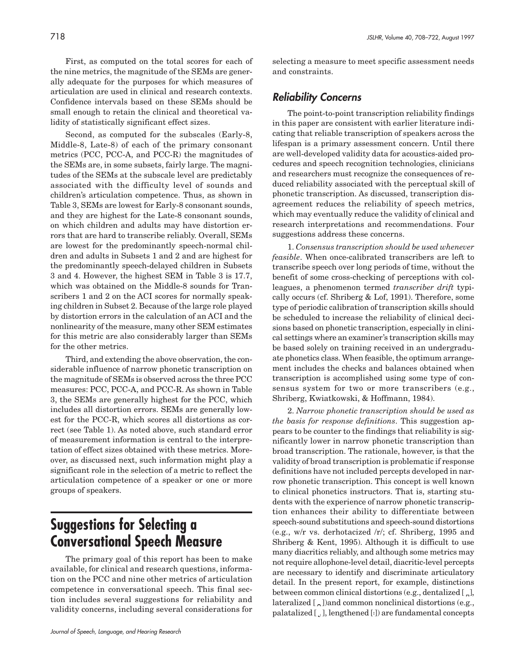First, as computed on the total scores for each of the nine metrics, the magnitude of the SEMs are generally adequate for the purposes for which measures of articulation are used in clinical and research contexts. Confidence intervals based on these SEMs should be small enough to retain the clinical and theoretical validity of statistically significant effect sizes.

Second, as computed for the subscales (Early-8, Middle-8, Late-8) of each of the primary consonant metrics (PCC, PCC-A, and PCC-R) the magnitudes of the SEMs are, in some subsets, fairly large. The magnitudes of the SEMs at the subscale level are predictably associated with the difficulty level of sounds and children's articulation competence. Thus, as shown in Table 3, SEMs are lowest for Early-8 consonant sounds, and they are highest for the Late-8 consonant sounds, on which children and adults may have distortion errors that are hard to transcribe reliably. Overall, SEMs are lowest for the predominantly speech-normal children and adults in Subsets 1 and 2 and are highest for the predominantly speech-delayed children in Subsets 3 and 4. However, the highest SEM in Table 3 is 17.7, which was obtained on the Middle-8 sounds for Transcribers 1 and 2 on the ACI scores for normally speaking children in Subset 2. Because of the large role played by distortion errors in the calculation of an ACI and the nonlinearity of the measure, many other SEM estimates for this metric are also considerably larger than SEMs for the other metrics.

Third, and extending the above observation, the considerable influence of narrow phonetic transcription on the magnitude of SEMs is observed across the three PCC measures: PCC, PCC-A, and PCC-R. As shown in Table 3, the SEMs are generally highest for the PCC, which includes all distortion errors. SEMs are generally lowest for the PCC-R, which scores all distortions as correct (see Table 1). As noted above, such standard error of measurement information is central to the interpretation of effect sizes obtained with these metrics. Moreover, as discussed next, such information might play a significant role in the selection of a metric to reflect the articulation competence of a speaker or one or more groups of speakers.

# **Suggestions for Selecting a Conversational Speech Measure**

The primary goal of this report has been to make available, for clinical and research questions, information on the PCC and nine other metrics of articulation competence in conversational speech. This final section includes several suggestions for reliability and validity concerns, including several considerations for selecting a measure to meet specific assessment needs and constraints.

# **Reliability Concerns**

The point-to-point transcription reliability findings in this paper are consistent with earlier literature indicating that reliable transcription of speakers across the lifespan is a primary assessment concern. Until there are well-developed validity data for acoustics-aided procedures and speech recognition technologies, clinicians and researchers must recognize the consequences of reduced reliability associated with the perceptual skill of phonetic transcription. As discussed, transcription disagreement reduces the reliability of speech metrics, which may eventually reduce the validity of clinical and research interpretations and recommendations. Four suggestions address these concerns.

1. *Consensus transcription should be used whenever feasible*. When once-calibrated transcribers are left to transcribe speech over long periods of time, without the benefit of some cross-checking of perceptions with colleagues, a phenomenon termed *transcriber drift* typically occurs (cf. Shriberg & Lof, 1991). Therefore, some type of periodic calibration of transcription skills should be scheduled to increase the reliability of clinical decisions based on phonetic transcription, especially in clinical settings where an examiner's transcription skills may be based solely on training received in an undergraduate phonetics class. When feasible, the optimum arrangement includes the checks and balances obtained when transcription is accomplished using some type of consensus system for two or more transcribers (e.g., Shriberg, Kwiatkowski, & Hoffmann, 1984).

2. *Narrow phonetic transcription should be used as the basis for response definitions*. This suggestion appears to be counter to the findings that reliability is significantly lower in narrow phonetic transcription than broad transcription. The rationale, however, is that the validity of broad transcription is problematic if response definitions have not included percepts developed in narrow phonetic transcription. This concept is well known to clinical phonetics instructors. That is, starting students with the experience of narrow phonetic transcription enhances their ability to differentiate between speech-sound substitutions and speech-sound distortions (e.g., w/r vs. derhotacized /r/; cf. Shriberg, 1995 and Shriberg & Kent, 1995). Although it is difficult to use many diacritics reliably, and although some metrics may not require allophone-level detail, diacritic-level percepts are necessary to identify and discriminate articulatory detail. In the present report, for example, distinctions between common clinical distortions (e.g., dentalized  $\lbrack_{n}$ ), lateralized  $\lbrack_{n}$ ) and common nonclinical distortions (e.g., lateralized  $\lceil \alpha \rceil$ )and common nonclinical distortions (e.g., palatalized [, ], lengthened [:]) are fundamental concepts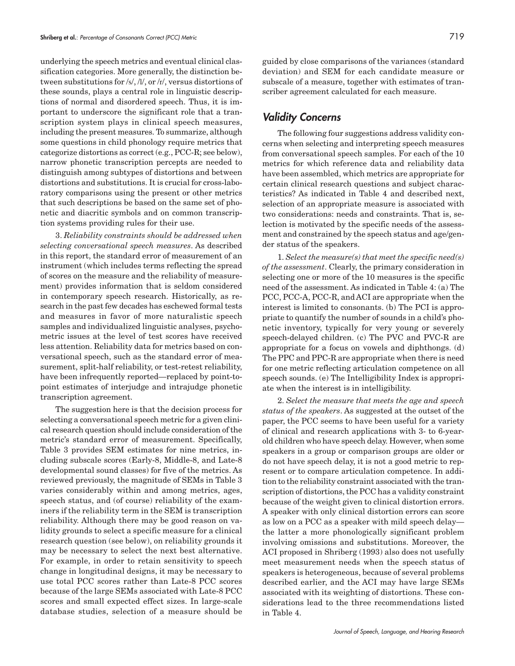underlying the speech metrics and eventual clinical classification categories. More generally, the distinction between substitutions for /s/, /l/, or /r/, versus distortions of these sounds, plays a central role in linguistic descriptions of normal and disordered speech. Thus, it is important to underscore the significant role that a transcription system plays in clinical speech measures, including the present measures. To summarize, although some questions in child phonology require metrics that categorize distortions as correct (e.g., PCC-R; see below), narrow phonetic transcription percepts are needed to distinguish among subtypes of distortions and between distortions and substitutions. It is crucial for cross-laboratory comparisons using the present or other metrics that such descriptions be based on the same set of phonetic and diacritic symbols and on common transcription systems providing rules for their use.

3. *Reliability constraints should be addressed when selecting conversational speech measures*. As described in this report, the standard error of measurement of an instrument (which includes terms reflecting the spread of scores on the measure and the reliability of measurement) provides information that is seldom considered in contemporary speech research. Historically, as research in the past few decades has eschewed formal tests and measures in favor of more naturalistic speech samples and individualized linguistic analyses, psychometric issues at the level of test scores have received less attention. Reliability data for metrics based on conversational speech, such as the standard error of measurement, split-half reliability, or test-retest reliability, have been infrequently reported—replaced by point-topoint estimates of interjudge and intrajudge phonetic transcription agreement.

The suggestion here is that the decision process for selecting a conversational speech metric for a given clinical research question should include consideration of the metric's standard error of measurement. Specifically, Table 3 provides SEM estimates for nine metrics, including subscale scores (Early-8, Middle-8, and Late-8 developmental sound classes) for five of the metrics. As reviewed previously, the magnitude of SEMs in Table 3 varies considerably within and among metrics, ages, speech status, and (of course) reliability of the examiners if the reliability term in the SEM is transcription reliability. Although there may be good reason on validity grounds to select a specific measure for a clinical research question (see below), on reliability grounds it may be necessary to select the next best alternative. For example, in order to retain sensitivity to speech change in longitudinal designs, it may be necessary to use total PCC scores rather than Late-8 PCC scores because of the large SEMs associated with Late-8 PCC scores and small expected effect sizes. In large-scale database studies, selection of a measure should be

guided by close comparisons of the variances (standard deviation) and SEM for each candidate measure or subscale of a measure, together with estimates of transcriber agreement calculated for each measure.

### **Validity Concerns**

The following four suggestions address validity concerns when selecting and interpreting speech measures from conversational speech samples. For each of the 10 metrics for which reference data and reliability data have been assembled, which metrics are appropriate for certain clinical research questions and subject characteristics? As indicated in Table 4 and described next, selection of an appropriate measure is associated with two considerations: needs and constraints. That is, selection is motivated by the specific needs of the assessment and constrained by the speech status and age/gender status of the speakers.

1. *Select the measure(s) that meet the specific need(s) of the assessment*. Clearly, the primary consideration in selecting one or more of the 10 measures is the specific need of the assessment. As indicated in Table 4: (a) The PCC, PCC-A, PCC-R, and ACI are appropriate when the interest is limited to consonants. (b) The PCI is appropriate to quantify the number of sounds in a child's phonetic inventory, typically for very young or severely speech-delayed children. (c) The PVC and PVC-R are appropriate for a focus on vowels and diphthongs. (d) The PPC and PPC-R are appropriate when there is need for one metric reflecting articulation competence on all speech sounds. (e) The Intelligibility Index is appropriate when the interest is in intelligibility.

2. *Select the measure that meets the age and speech status of the speakers*. As suggested at the outset of the paper, the PCC seems to have been useful for a variety of clinical and research applications with 3- to 6-yearold children who have speech delay. However, when some speakers in a group or comparison groups are older or do not have speech delay, it is not a good metric to represent or to compare articulation competence. In addition to the reliability constraint associated with the transcription of distortions, the PCC has a validity constraint because of the weight given to clinical distortion errors. A speaker with only clinical distortion errors can score as low on a PCC as a speaker with mild speech delay the latter a more phonologically significant problem involving omissions and substitutions. Moreover, the ACI proposed in Shriberg (1993) also does not usefully meet measurement needs when the speech status of speakers is heterogeneous, because of several problems described earlier, and the ACI may have large SEMs associated with its weighting of distortions. These considerations lead to the three recommendations listed in Table 4.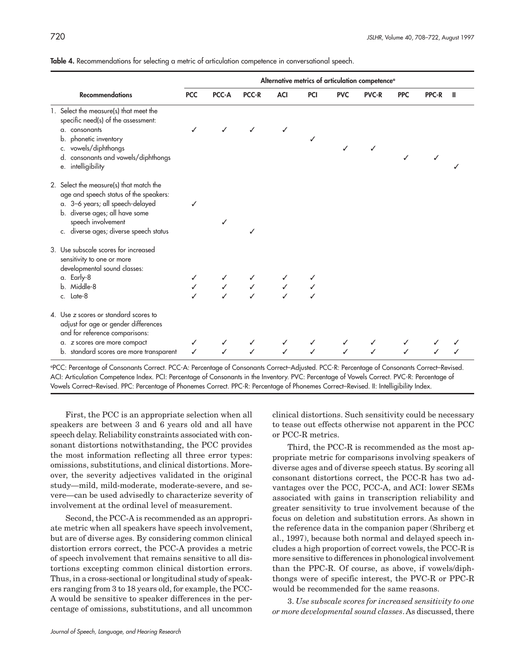|                                                                                                                                                                                                                         |              |              |              |              |            |              | Alternative metrics of articulation competence <sup>a</sup> |              |              |      |
|-------------------------------------------------------------------------------------------------------------------------------------------------------------------------------------------------------------------------|--------------|--------------|--------------|--------------|------------|--------------|-------------------------------------------------------------|--------------|--------------|------|
| <b>Recommendations</b>                                                                                                                                                                                                  | <b>PCC</b>   | PCC-A        | <b>PCC-R</b> | <b>ACI</b>   | <b>PCI</b> | <b>PVC</b>   | <b>PVC-R</b>                                                | <b>PPC</b>   | <b>PPC-R</b> | - 11 |
| 1. Select the measure(s) that meet the<br>specific need(s) of the assessment:<br>a. consonants                                                                                                                          | $\checkmark$ |              | $\checkmark$ | $\checkmark$ |            |              |                                                             |              |              |      |
| b. phonetic inventory<br>c. vowels/diphthongs<br>d. consonants and vowels/diphthongs<br>e. intelligibility                                                                                                              |              |              |              |              | ✓          | $\checkmark$ |                                                             | $\checkmark$ |              |      |
| 2. Select the measure(s) that match the<br>age and speech status of the speakers:<br>a. 3-6 years; all speech-delayed<br>b. diverse ages; all have some<br>speech involvement<br>c. diverse ages; diverse speech status | ✓            | ✓            | ✓            |              |            |              |                                                             |              |              |      |
| 3. Use subscale scores for increased<br>sensitivity to one or more<br>developmental sound classes:<br>a. Early-8                                                                                                        |              |              |              |              |            |              |                                                             |              |              |      |
| b. Middle-8<br>c. Late-8                                                                                                                                                                                                | $\checkmark$ |              |              |              |            |              |                                                             |              |              |      |
| 4. Use z scores or standard scores to<br>adjust for age or gender differences<br>and for reference comparisons:<br>a. z scores are more compact<br>b. standard scores are more transparent                              | ✓            | $\checkmark$ | $\checkmark$ |              |            |              | $\checkmark$                                                |              |              |      |

**Table 4.** Recommendations for selecting a metric of articulation competence in conversational speech.

a PCC: Percentage of Consonants Correct. PCC-A: Percentage of Consonants Correct–Adjusted. PCC-R: Percentage of Consonants Correct–Revised. ACI: Articulation Competence Index. PCI: Percentage of Consonants in the Inventory. PVC: Percentage of Vowels Correct. PVC-R: Percentage of Vowels Correct–Revised. PPC: Percentage of Phonemes Correct. PPC-R: Percentage of Phonemes Correct–Revised. II: Intelligibility Index.

First, the PCC is an appropriate selection when all speakers are between 3 and 6 years old and all have speech delay. Reliability constraints associated with consonant distortions notwithstanding, the PCC provides the most information reflecting all three error types: omissions, substitutions, and clinical distortions. Moreover, the severity adjectives validated in the original study—mild, mild-moderate, moderate-severe, and severe—can be used advisedly to characterize severity of involvement at the ordinal level of measurement.

Second, the PCC-A is recommended as an appropriate metric when all speakers have speech involvement, but are of diverse ages. By considering common clinical distortion errors correct, the PCC-A provides a metric of speech involvement that remains sensitive to all distortions excepting common clinical distortion errors. Thus, in a cross-sectional or longitudinal study of speakers ranging from 3 to 18 years old, for example, the PCC-A would be sensitive to speaker differences in the percentage of omissions, substitutions, and all uncommon clinical distortions. Such sensitivity could be necessary to tease out effects otherwise not apparent in the PCC or PCC-R metrics.

Third, the PCC-R is recommended as the most appropriate metric for comparisons involving speakers of diverse ages and of diverse speech status. By scoring all consonant distortions correct, the PCC-R has two advantages over the PCC, PCC-A, and ACI: lower SEMs associated with gains in transcription reliability and greater sensitivity to true involvement because of the focus on deletion and substitution errors. As shown in the reference data in the companion paper (Shriberg et al., 1997), because both normal and delayed speech includes a high proportion of correct vowels, the PCC-R is more sensitive to differences in phonological involvement than the PPC-R. Of course, as above, if vowels/diphthongs were of specific interest, the PVC-R or PPC-R would be recommended for the same reasons.

3. *Use subscale scores for increased sensitivity to one or more developmental sound classes*. As discussed, there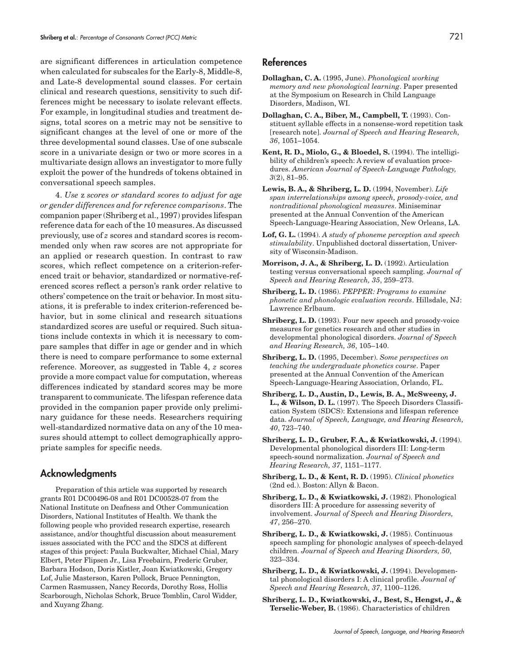are significant differences in articulation competence when calculated for subscales for the Early-8, Middle-8, and Late-8 developmental sound classes. For certain clinical and research questions, sensitivity to such differences might be necessary to isolate relevant effects. For example, in longitudinal studies and treatment designs, total scores on a metric may not be sensitive to significant changes at the level of one or more of the three developmental sound classes. Use of one subscale score in a univariate design or two or more scores in a multivariate design allows an investigator to more fully exploit the power of the hundreds of tokens obtained in conversational speech samples.

4. *Use* z *scores or standard scores to adjust for age or gender differences and for reference comparisons*. The companion paper (Shriberg et al., 1997) provides lifespan reference data for each of the 10 measures. As discussed previously, use of *z* scores and standard scores is recommended only when raw scores are not appropriate for an applied or research question. In contrast to raw scores, which reflect competence on a criterion-referenced trait or behavior, standardized or normative-referenced scores reflect a person's rank order relative to others' competence on the trait or behavior. In most situations, it is preferable to index criterion-referenced behavior, but in some clinical and research situations standardized scores are useful or required. Such situations include contexts in which it is necessary to compare samples that differ in age or gender and in which there is need to compare performance to some external reference. Moreover, as suggested in Table 4, *z* scores provide a more compact value for computation, whereas differences indicated by standard scores may be more transparent to communicate. The lifespan reference data provided in the companion paper provide only preliminary guidance for these needs. Researchers requiring well-standardized normative data on any of the 10 measures should attempt to collect demographically appropriate samples for specific needs.

#### **Acknowledgments**

Preparation of this article was supported by research grants R01 DC00496-08 and R01 DC00528-07 from the National Institute on Deafness and Other Communication Disorders, National Institutes of Health. We thank the following people who provided research expertise, research assistance, and/or thoughtful discussion about measurement issues associated with the PCC and the SDCS at different stages of this project: Paula Buckwalter, Michael Chial, Mary Elbert, Peter Flipsen Jr., Lisa Freebairn, Frederic Gruber, Barbara Hodson, Doris Kistler, Joan Kwiatkowski, Gregory Lof, Julie Masterson, Karen Pollock, Bruce Pennington, Carmen Rasmussen, Nancy Records, Dorothy Ross, Hollis Scarborough, Nicholas Schork, Bruce Tomblin, Carol Widder, and Xuyang Zhang.

#### **References**

- **Dollaghan, C. A.** (1995, June). *Phonological working memory and new phonological learning*. Paper presented at the Symposium on Research in Child Language Disorders, Madison, WI.
- **Dollaghan, C. A., Biber, M., Campbell, T.** (1993). Constituent syllable effects in a nonsense-word repetition task [research note]. *Journal of Speech and Hearing Research, 36*, 1051–1054.
- **Kent, R. D., Miolo, G., & Bloedel, S.** (1994). The intelligibility of children's speech: A review of evaluation procedures. *American Journal of Speech-Language Pathology, 3*(2), 81–95.
- **Lewis, B. A., & Shriberg, L. D.** (1994, November). *Life span interrelationships among speech, prosody-voice, and nontraditional phonological measures*. Miniseminar presented at the Annual Convention of the American Speech-Language-Hearing Association, New Orleans, LA.
- **Lof, G. L.** (1994). *A study of phoneme perception and speech stimulability*. Unpublished doctoral dissertation, University of Wisconsin-Madison.
- **Morrison, J. A., & Shriberg, L. D.** (1992). Articulation testing versus conversational speech sampling. *Journal of Speech and Hearing Research, 35*, 259–273.
- **Shriberg, L. D.** (1986). *PEPPER: Programs to examine phonetic and phonologic evaluation records*. Hillsdale, NJ: Lawrence Erlbaum.
- **Shriberg, L. D.** (1993). Four new speech and prosody-voice measures for genetics research and other studies in developmental phonological disorders. *Journal of Speech and Hearing Research, 36*, 105–140.
- **Shriberg, L. D.** (1995, December). *Some perspectives on teaching the undergraduate phonetics course*. Paper presented at the Annual Convention of the American Speech-Language-Hearing Association, Orlando, FL.
- **Shriberg, L. D., Austin, D., Lewis, B. A., McSweeny, J. L., & Wilson, D. L.** (1997). The Speech Disorders Classification System (SDCS): Extensions and lifespan reference data. *Journal of Speech, Language, and Hearing Research, 40*, 723–740.
- **Shriberg, L. D., Gruber, F. A., & Kwiatkowski, J.** (1994). Developmental phonological disorders III: Long-term speech-sound normalization. *Journal of Speech and Hearing Research, 37*, 1151–1177.
- **Shriberg, L. D., & Kent, R. D.** (1995). *Clinical phonetics* (2nd ed.). Boston: Allyn & Bacon.
- **Shriberg, L. D., & Kwiatkowski, J.** (1982). Phonological disorders III: A procedure for assessing severity of involvement. *Journal of Speech and Hearing Disorders, 47*, 256–270.
- **Shriberg, L. D., & Kwiatkowski, J.** (1985). Continuous speech sampling for phonologic analyses of speech-delayed children. *Journal of Speech and Hearing Disorders, 50*, 323–334.
- **Shriberg, L. D., & Kwiatkowski, J.** (1994). Developmental phonological disorders I: A clinical profile. *Journal of Speech and Hearing Research, 37*, 1100–1126.
- **Shriberg, L. D., Kwiatkowski, J., Best, S., Hengst, J., & Terselic-Weber, B.** (1986). Characteristics of children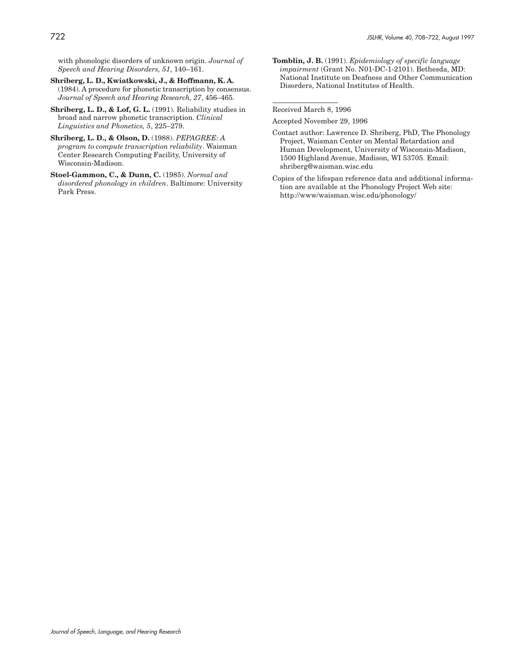with phonologic disorders of unknown origin. *Journal of Speech and Hearing Disorders, 51*, 140–161.

- **Shriberg, L. D., Kwiatkowski, J., & Hoffmann, K. A.** (1984). A procedure for phonetic transcription by consensus. *Journal of Speech and Hearing Research, 27*, 456–465.
- **Shriberg, L. D., & Lof, G. L.** (1991). Reliability studies in broad and narrow phonetic transcription. *Clinical Linguistics and Phonetics, 5*, 225–279.
- **Shriberg, L. D., & Olson, D.** (1988). *PEPAGREE: A program to compute transcription reliability*. Waisman Center Research Computing Facility, University of Wisconsin-Madison.
- **Stoel-Gammon, C., & Dunn, C.** (1985). *Normal and disordered phonology in children*. Baltimore: University Park Press.

**Tomblin, J. B.** (1991). *Epidemiology of specific language impairment* (Grant No. N01-DC-1-2101). Bethesda, MD: National Institute on Deafness and Other Communication Disorders, National Institutes of Health.

Received March 8, 1996

Accepted November 29, 1996

- Contact author: Lawrence D. Shriberg, PhD, The Phonology Project, Waisman Center on Mental Retardation and Human Development, University of Wisconsin-Madison, 1500 Highland Avenue, Madison, WI 53705. Email: shriberg@waisman.wisc.edu
- Copies of the lifespan reference data and additional information are available at the Phonology Project Web site: http://www/waisman.wisc.edu/phonology/